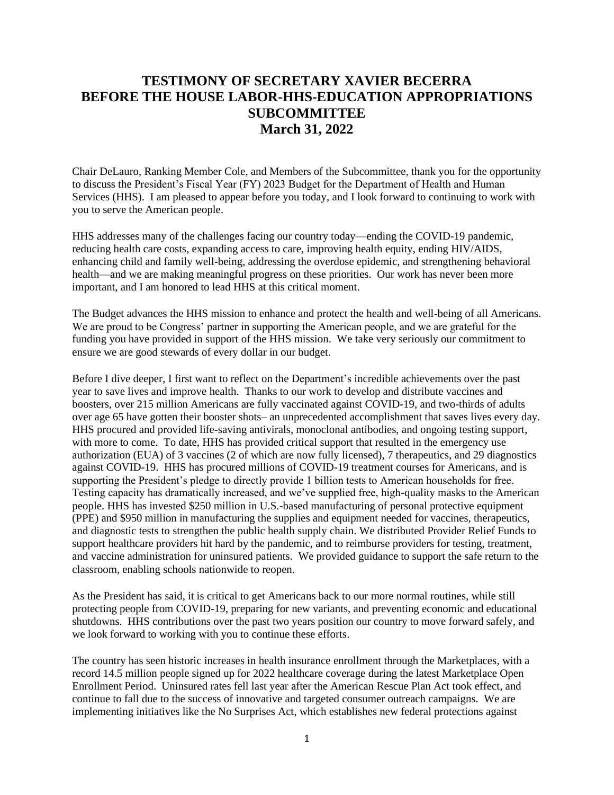# **TESTIMONY OF SECRETARY XAVIER BECERRA BEFORE THE HOUSE LABOR-HHS-EDUCATION APPROPRIATIONS SUBCOMMITTEE March 31, 2022**

Chair DeLauro, Ranking Member Cole, and Members of the Subcommittee, thank you for the opportunity to discuss the President's Fiscal Year (FY) 2023 Budget for the Department of Health and Human Services (HHS). I am pleased to appear before you today, and I look forward to continuing to work with you to serve the American people.

HHS addresses many of the challenges facing our country today—ending the COVID-19 pandemic, reducing health care costs, expanding access to care, improving health equity, ending HIV/AIDS, enhancing child and family well-being, addressing the overdose epidemic, and strengthening behavioral health—and we are making meaningful progress on these priorities. Our work has never been more important, and I am honored to lead HHS at this critical moment.

The Budget advances the HHS mission to enhance and protect the health and well-being of all Americans. We are proud to be Congress' partner in supporting the American people, and we are grateful for the funding you have provided in support of the HHS mission. We take very seriously our commitment to ensure we are good stewards of every dollar in our budget.

Before I dive deeper, I first want to reflect on the Department's incredible achievements over the past year to save lives and improve health. Thanks to our work to develop and distribute vaccines and boosters, over 215 million Americans are fully vaccinated against COVID-19, and two-thirds of adults over age 65 have gotten their booster shots– an unprecedented accomplishment that saves lives every day. HHS procured and provided life-saving antivirals, monoclonal antibodies, and ongoing testing support, with more to come. To date, HHS has provided critical support that resulted in the emergency use authorization (EUA) of 3 vaccines (2 of which are now fully licensed), 7 therapeutics, and 29 diagnostics against COVID-19. HHS has procured millions of COVID-19 treatment courses for Americans, and is supporting the President's pledge to directly provide 1 billion tests to American households for free. Testing capacity has dramatically increased, and we've supplied free, high-quality masks to the American people. HHS has invested \$250 million in U.S.-based manufacturing of personal protective equipment (PPE) and \$950 million in manufacturing the supplies and equipment needed for vaccines, therapeutics, and diagnostic tests to strengthen the public health supply chain. We distributed Provider Relief Funds to support healthcare providers hit hard by the pandemic, and to reimburse providers for testing, treatment, and vaccine administration for uninsured patients. We provided guidance to support the safe return to the classroom, enabling schools nationwide to reopen.

As the President has said, it is critical to get Americans back to our more normal routines, while still protecting people from COVID-19, preparing for new variants, and preventing economic and educational shutdowns. HHS contributions over the past two years position our country to move forward safely, and we look forward to working with you to continue these efforts.

The country has seen historic increases in health insurance enrollment through the Marketplaces, with a record 14.5 million people signed up for 2022 healthcare coverage during the latest Marketplace Open Enrollment Period. Uninsured rates fell last year after the American Rescue Plan Act took effect, and continue to fall due to the success of innovative and targeted consumer outreach campaigns. We are implementing initiatives like the No Surprises Act, which establishes new federal protections against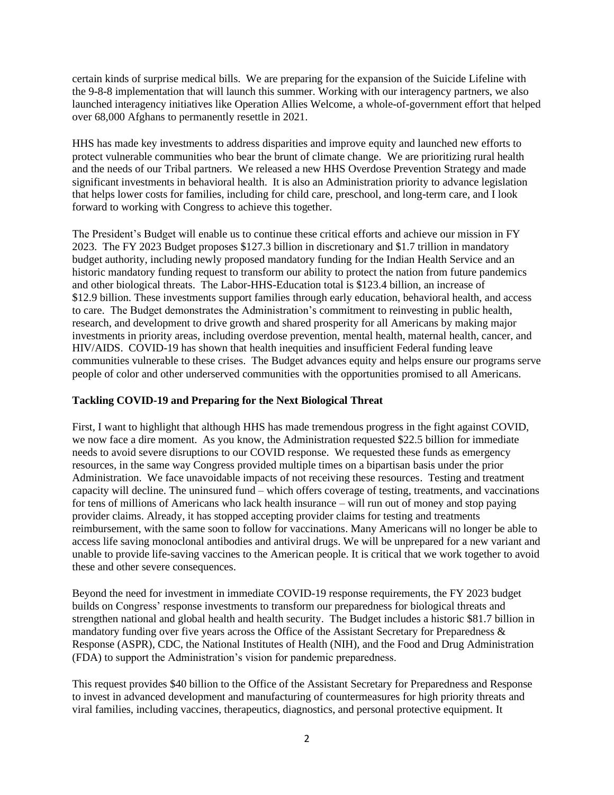certain kinds of surprise medical bills. We are preparing for the expansion of the Suicide Lifeline with the 9-8-8 implementation that will launch this summer. Working with our interagency partners, we also launched interagency initiatives like Operation Allies Welcome, a whole-of-government effort that helped over 68,000 Afghans to permanently resettle in 2021.

HHS has made key investments to address disparities and improve equity and launched new efforts to protect vulnerable communities who bear the brunt of climate change. We are prioritizing rural health and the needs of our Tribal partners. We released a new HHS Overdose Prevention Strategy and made significant investments in behavioral health. It is also an Administration priority to advance legislation that helps lower costs for families, including for child care, preschool, and long-term care, and I look forward to working with Congress to achieve this together.

The President's Budget will enable us to continue these critical efforts and achieve our mission in FY 2023. The FY 2023 Budget proposes \$127.3 billion in discretionary and \$1.7 trillion in mandatory budget authority, including newly proposed mandatory funding for the Indian Health Service and an historic mandatory funding request to transform our ability to protect the nation from future pandemics and other biological threats. The Labor-HHS-Education total is \$123.4 billion, an increase of \$12.9 billion. These investments support families through early education, behavioral health, and access to care. The Budget demonstrates the Administration's commitment to reinvesting in public health, research, and development to drive growth and shared prosperity for all Americans by making major investments in priority areas, including overdose prevention, mental health, maternal health, cancer, and HIV/AIDS. COVID-19 has shown that health inequities and insufficient Federal funding leave communities vulnerable to these crises. The Budget advances equity and helps ensure our programs serve people of color and other underserved communities with the opportunities promised to all Americans.

## **Tackling COVID-19 and Preparing for the Next Biological Threat**

First, I want to highlight that although HHS has made tremendous progress in the fight against COVID, we now face a dire moment. As you know, the Administration requested \$22.5 billion for immediate needs to avoid severe disruptions to our COVID response. We requested these funds as emergency resources, in the same way Congress provided multiple times on a bipartisan basis under the prior Administration. We face unavoidable impacts of not receiving these resources. Testing and treatment capacity will decline. The uninsured fund – which offers coverage of testing, treatments, and vaccinations for tens of millions of Americans who lack health insurance – will run out of money and stop paying provider claims. Already, it has stopped accepting provider claims for testing and treatments reimbursement, with the same soon to follow for vaccinations. Many Americans will no longer be able to access life saving monoclonal antibodies and antiviral drugs. We will be unprepared for a new variant and unable to provide life-saving vaccines to the American people. It is critical that we work together to avoid these and other severe consequences.

Beyond the need for investment in immediate COVID-19 response requirements, the FY 2023 budget builds on Congress' response investments to transform our preparedness for biological threats and strengthen national and global health and health security. The Budget includes a historic \$81.7 billion in mandatory funding over five years across the Office of the Assistant Secretary for Preparedness & Response (ASPR), CDC, the National Institutes of Health (NIH), and the Food and Drug Administration (FDA) to support the Administration's vision for pandemic preparedness.

This request provides \$40 billion to the Office of the Assistant Secretary for Preparedness and Response to invest in advanced development and manufacturing of countermeasures for high priority threats and viral families, including vaccines, therapeutics, diagnostics, and personal protective equipment. It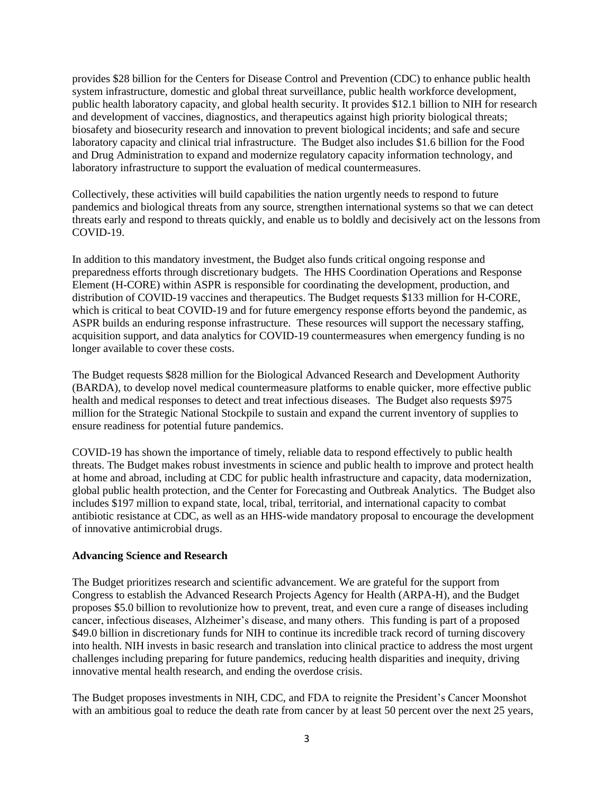provides \$28 billion for the Centers for Disease Control and Prevention (CDC) to enhance public health system infrastructure, domestic and global threat surveillance, public health workforce development, public health laboratory capacity, and global health security. It provides \$12.1 billion to NIH for research and development of vaccines, diagnostics, and therapeutics against high priority biological threats; biosafety and biosecurity research and innovation to prevent biological incidents; and safe and secure laboratory capacity and clinical trial infrastructure. The Budget also includes \$1.6 billion for the Food and Drug Administration to expand and modernize regulatory capacity information technology, and laboratory infrastructure to support the evaluation of medical countermeasures.

Collectively, these activities will build capabilities the nation urgently needs to respond to future pandemics and biological threats from any source, strengthen international systems so that we can detect threats early and respond to threats quickly, and enable us to boldly and decisively act on the lessons from COVID-19.

In addition to this mandatory investment, the Budget also funds critical ongoing response and preparedness efforts through discretionary budgets. The HHS Coordination Operations and Response Element (H-CORE) within ASPR is responsible for coordinating the development, production, and distribution of COVID-19 vaccines and therapeutics. The Budget requests \$133 million for H-CORE, which is critical to beat COVID-19 and for future emergency response efforts beyond the pandemic, as ASPR builds an enduring response infrastructure. These resources will support the necessary staffing, acquisition support, and data analytics for COVID-19 countermeasures when emergency funding is no longer available to cover these costs.

The Budget requests \$828 million for the Biological Advanced Research and Development Authority (BARDA), to develop novel medical countermeasure platforms to enable quicker, more effective public health and medical responses to detect and treat infectious diseases. The Budget also requests \$975 million for the Strategic National Stockpile to sustain and expand the current inventory of supplies to ensure readiness for potential future pandemics.

COVID-19 has shown the importance of timely, reliable data to respond effectively to public health threats. The Budget makes robust investments in science and public health to improve and protect health at home and abroad, including at CDC for public health infrastructure and capacity, data modernization, global public health protection, and the Center for Forecasting and Outbreak Analytics. The Budget also includes \$197 million to expand state, local, tribal, territorial, and international capacity to combat antibiotic resistance at CDC, as well as an HHS-wide mandatory proposal to encourage the development of innovative antimicrobial drugs.

#### **Advancing Science and Research**

The Budget prioritizes research and scientific advancement. We are grateful for the support from Congress to establish the Advanced Research Projects Agency for Health (ARPA-H), and the Budget proposes \$5.0 billion to revolutionize how to prevent, treat, and even cure a range of diseases including cancer, infectious diseases, Alzheimer's disease, and many others. This funding is part of a proposed \$49.0 billion in discretionary funds for NIH to continue its incredible track record of turning discovery into health. NIH invests in basic research and translation into clinical practice to address the most urgent challenges including preparing for future pandemics, reducing health disparities and inequity, driving innovative mental health research, and ending the overdose crisis.

The Budget proposes investments in NIH, CDC, and FDA to reignite the President's Cancer Moonshot with an ambitious goal to reduce the death rate from cancer by at least 50 percent over the next 25 years,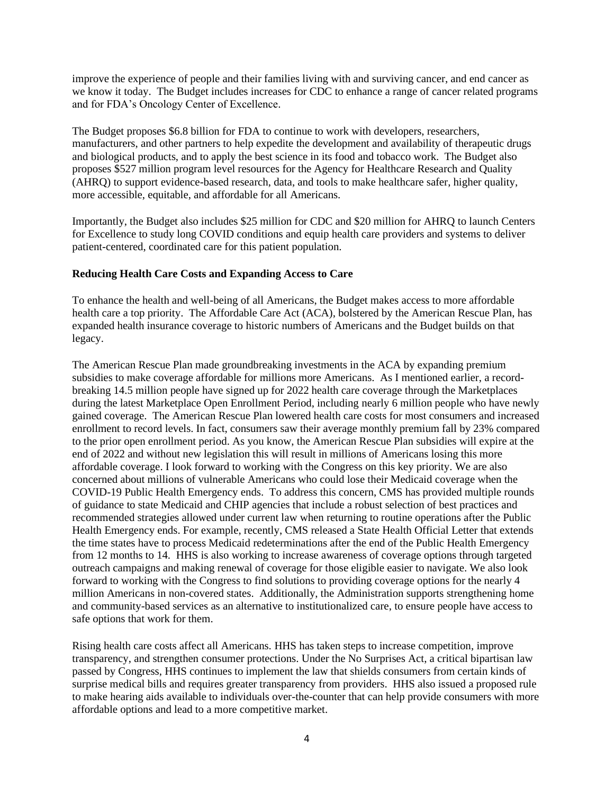improve the experience of people and their families living with and surviving cancer, and end cancer as we know it today. The Budget includes increases for CDC to enhance a range of cancer related programs and for FDA's Oncology Center of Excellence.

The Budget proposes \$6.8 billion for FDA to continue to work with developers, researchers, manufacturers, and other partners to help expedite the development and availability of therapeutic drugs and biological products, and to apply the best science in its food and tobacco work. The Budget also proposes \$527 million program level resources for the Agency for Healthcare Research and Quality (AHRQ) to support evidence-based research, data, and tools to make healthcare safer, higher quality, more accessible, equitable, and affordable for all Americans.

Importantly, the Budget also includes \$25 million for CDC and \$20 million for AHRQ to launch Centers for Excellence to study long COVID conditions and equip health care providers and systems to deliver patient-centered, coordinated care for this patient population.

### **Reducing Health Care Costs and Expanding Access to Care**

To enhance the health and well-being of all Americans, the Budget makes access to more affordable health care a top priority. The Affordable Care Act (ACA), bolstered by the American Rescue Plan, has expanded health insurance coverage to historic numbers of Americans and the Budget builds on that legacy.

The American Rescue Plan made groundbreaking investments in the ACA by expanding premium subsidies to make coverage affordable for millions more Americans. As I mentioned earlier, a recordbreaking 14.5 million people have signed up for 2022 health care coverage through the Marketplaces during the latest Marketplace Open Enrollment Period, including nearly 6 million people who have newly gained coverage. The American Rescue Plan lowered health care costs for most consumers and increased enrollment to record levels. In fact, consumers saw their average monthly premium fall by 23% compared to the prior open enrollment period. As you know, the American Rescue Plan subsidies will expire at the end of 2022 and without new legislation this will result in millions of Americans losing this more affordable coverage. I look forward to working with the Congress on this key priority. We are also concerned about millions of vulnerable Americans who could lose their Medicaid coverage when the COVID-19 Public Health Emergency ends. To address this concern, CMS has provided multiple rounds of guidance to state Medicaid and CHIP agencies that include a robust selection of best practices and recommended strategies allowed under current law when returning to routine operations after the Public Health Emergency ends. For example, recently, CMS released a State Health Official Letter that extends the time states have to process Medicaid redeterminations after the end of the Public Health Emergency from 12 months to 14. HHS is also working to increase awareness of coverage options through targeted outreach campaigns and making renewal of coverage for those eligible easier to navigate. We also look forward to working with the Congress to find solutions to providing coverage options for the nearly 4 million Americans in non-covered states. Additionally, the Administration supports strengthening home and community-based services as an alternative to institutionalized care, to ensure people have access to safe options that work for them.

Rising health care costs affect all Americans. HHS has taken steps to increase competition, improve transparency, and strengthen consumer protections. Under the No Surprises Act, a critical bipartisan law passed by Congress, HHS continues to implement the law that shields consumers from certain kinds of surprise medical bills and requires greater transparency from providers. HHS also issued a proposed rule to make hearing aids available to individuals over-the-counter that can help provide consumers with more affordable options and lead to a more competitive market.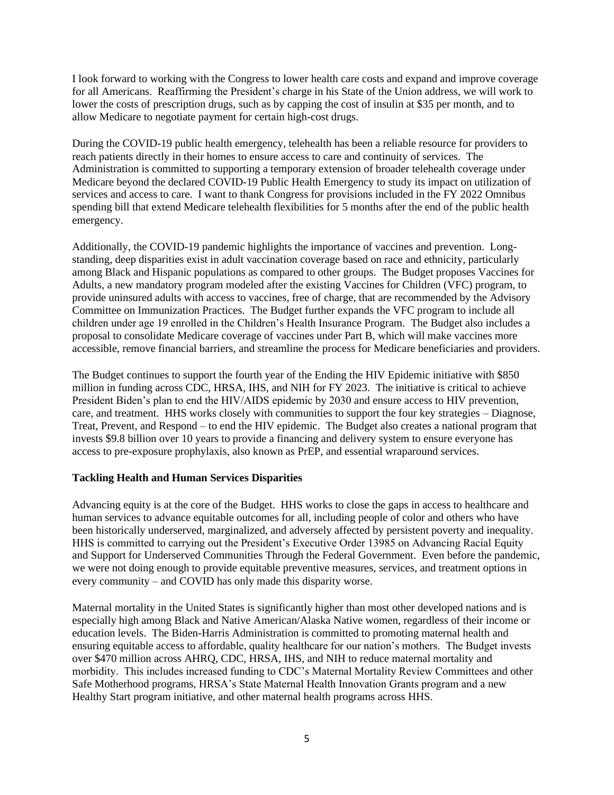I look forward to working with the Congress to lower health care costs and expand and improve coverage for all Americans. Reaffirming the President's charge in his State of the Union address, we will work to lower the costs of prescription drugs, such as by capping the cost of insulin at \$35 per month, and to allow Medicare to negotiate payment for certain high-cost drugs.

During the COVID-19 public health emergency, telehealth has been a reliable resource for providers to reach patients directly in their homes to ensure access to care and continuity of services. The Administration is committed to supporting a temporary extension of broader telehealth coverage under Medicare beyond the declared COVID-19 Public Health Emergency to study its impact on utilization of services and access to care. I want to thank Congress for provisions included in the FY 2022 Omnibus spending bill that extend Medicare telehealth flexibilities for 5 months after the end of the public health emergency.

Additionally, the COVID-19 pandemic highlights the importance of vaccines and prevention. Longstanding, deep disparities exist in adult vaccination coverage based on race and ethnicity, particularly among Black and Hispanic populations as compared to other groups. The Budget proposes Vaccines for Adults, a new mandatory program modeled after the existing Vaccines for Children (VFC) program, to provide uninsured adults with access to vaccines, free of charge, that are recommended by the Advisory Committee on Immunization Practices. The Budget further expands the VFC program to include all children under age 19 enrolled in the Children's Health Insurance Program. The Budget also includes a proposal to consolidate Medicare coverage of vaccines under Part B, which will make vaccines more accessible, remove financial barriers, and streamline the process for Medicare beneficiaries and providers.

The Budget continues to support the fourth year of the Ending the HIV Epidemic initiative with \$850 million in funding across CDC, HRSA, IHS, and NIH for FY 2023. The initiative is critical to achieve President Biden's plan to end the HIV/AIDS epidemic by 2030 and ensure access to HIV prevention, care, and treatment. HHS works closely with communities to support the four key strategies – Diagnose, Treat, Prevent, and Respond – to end the HIV epidemic. The Budget also creates a national program that invests \$9.8 billion over 10 years to provide a financing and delivery system to ensure everyone has access to pre-exposure prophylaxis, also known as PrEP, and essential wraparound services.

### **Tackling Health and Human Services Disparities**

Advancing equity is at the core of the Budget. HHS works to close the gaps in access to healthcare and human services to advance equitable outcomes for all, including people of color and others who have been historically underserved, marginalized, and adversely affected by persistent poverty and inequality. HHS is committed to carrying out the President's Executive Order 13985 on Advancing Racial Equity and Support for Underserved Communities Through the Federal Government. Even before the pandemic, we were not doing enough to provide equitable preventive measures, services, and treatment options in every community – and COVID has only made this disparity worse.

Maternal mortality in the United States is significantly higher than most other developed nations and is especially high among Black and Native American/Alaska Native women, regardless of their income or education levels. The Biden-Harris Administration is committed to promoting maternal health and ensuring equitable access to affordable, quality healthcare for our nation's mothers. The Budget invests over \$470 million across AHRQ, CDC, HRSA, IHS, and NIH to reduce maternal mortality and morbidity. This includes increased funding to CDC's Maternal Mortality Review Committees and other Safe Motherhood programs, HRSA's State Maternal Health Innovation Grants program and a new Healthy Start program initiative, and other maternal health programs across HHS.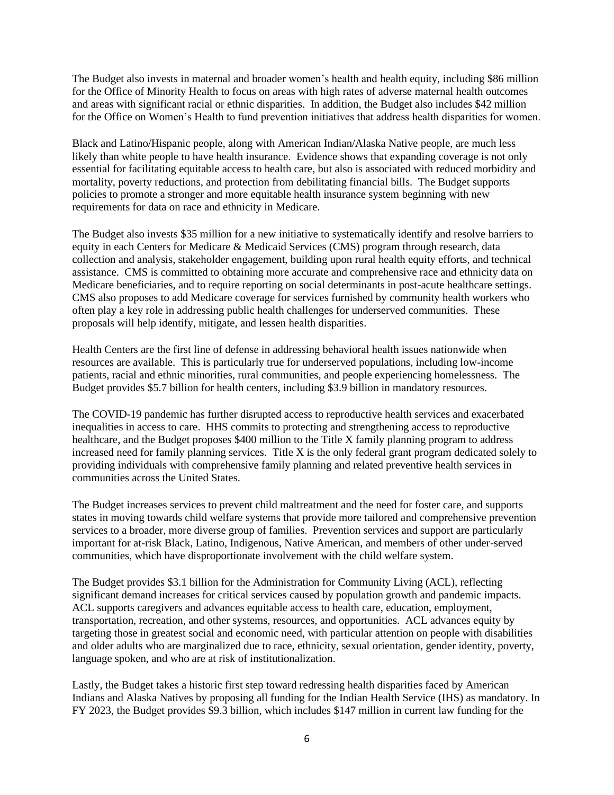The Budget also invests in maternal and broader women's health and health equity, including \$86 million for the Office of Minority Health to focus on areas with high rates of adverse maternal health outcomes and areas with significant racial or ethnic disparities. In addition, the Budget also includes \$42 million for the Office on Women's Health to fund prevention initiatives that address health disparities for women.

Black and Latino/Hispanic people, along with American Indian/Alaska Native people, are much less likely than white people to have health insurance. Evidence shows that expanding coverage is not only essential for facilitating equitable access to health care, but also is associated with reduced morbidity and mortality, poverty reductions, and protection from debilitating financial bills. The Budget supports policies to promote a stronger and more equitable health insurance system beginning with new requirements for data on race and ethnicity in Medicare.

The Budget also invests \$35 million for a new initiative to systematically identify and resolve barriers to equity in each Centers for Medicare & Medicaid Services (CMS) program through research, data collection and analysis, stakeholder engagement, building upon rural health equity efforts, and technical assistance. CMS is committed to obtaining more accurate and comprehensive race and ethnicity data on Medicare beneficiaries, and to require reporting on social determinants in post-acute healthcare settings. CMS also proposes to add Medicare coverage for services furnished by community health workers who often play a key role in addressing public health challenges for underserved communities. These proposals will help identify, mitigate, and lessen health disparities.

Health Centers are the first line of defense in addressing behavioral health issues nationwide when resources are available. This is particularly true for underserved populations, including low-income patients, racial and ethnic minorities, rural communities, and people experiencing homelessness. The Budget provides \$5.7 billion for health centers, including \$3.9 billion in mandatory resources.

The COVID-19 pandemic has further disrupted access to reproductive health services and exacerbated inequalities in access to care. HHS commits to protecting and strengthening access to reproductive healthcare, and the Budget proposes \$400 million to the Title X family planning program to address increased need for family planning services. Title X is the only federal grant program dedicated solely to providing individuals with comprehensive family planning and related preventive health services in communities across the United States.

The Budget increases services to prevent child maltreatment and the need for foster care, and supports states in moving towards child welfare systems that provide more tailored and comprehensive prevention services to a broader, more diverse group of families. Prevention services and support are particularly important for at-risk Black, Latino, Indigenous, Native American, and members of other under-served communities, which have disproportionate involvement with the child welfare system.

The Budget provides \$3.1 billion for the Administration for Community Living (ACL), reflecting significant demand increases for critical services caused by population growth and pandemic impacts. ACL supports caregivers and advances equitable access to health care, education, employment, transportation, recreation, and other systems, resources, and opportunities. ACL advances equity by targeting those in greatest social and economic need, with particular attention on people with disabilities and older adults who are marginalized due to race, ethnicity, sexual orientation, gender identity, poverty, language spoken, and who are at risk of institutionalization.

Lastly, the Budget takes a historic first step toward redressing health disparities faced by American Indians and Alaska Natives by proposing all funding for the Indian Health Service (IHS) as mandatory. In FY 2023, the Budget provides \$9.3 billion, which includes \$147 million in current law funding for the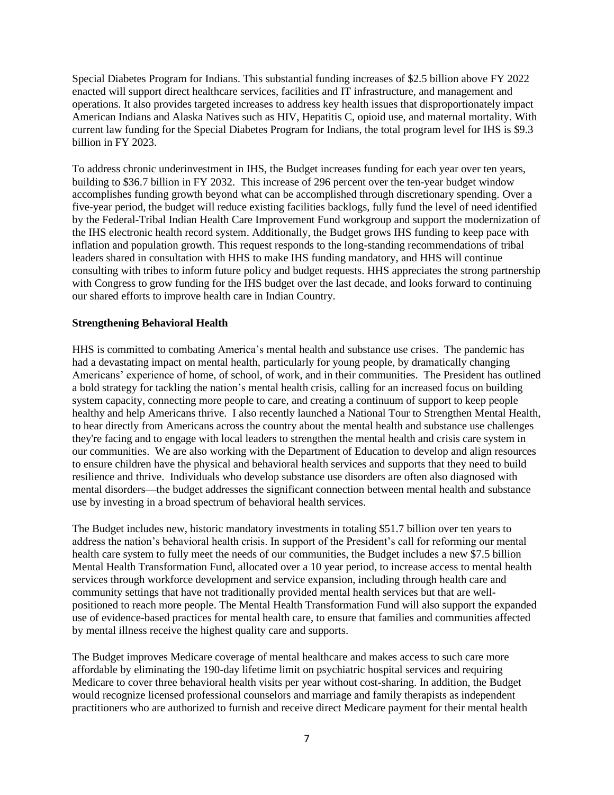Special Diabetes Program for Indians. This substantial funding increases of \$2.5 billion above FY 2022 enacted will support direct healthcare services, facilities and IT infrastructure, and management and operations. It also provides targeted increases to address key health issues that disproportionately impact American Indians and Alaska Natives such as HIV, Hepatitis C, opioid use, and maternal mortality. With current law funding for the Special Diabetes Program for Indians, the total program level for IHS is \$9.3 billion in FY 2023.

To address chronic underinvestment in IHS, the Budget increases funding for each year over ten years, building to \$36.7 billion in FY 2032. This increase of 296 percent over the ten-year budget window accomplishes funding growth beyond what can be accomplished through discretionary spending. Over a five-year period, the budget will reduce existing facilities backlogs, fully fund the level of need identified by the Federal-Tribal Indian Health Care Improvement Fund workgroup and support the modernization of the IHS electronic health record system. Additionally, the Budget grows IHS funding to keep pace with inflation and population growth. This request responds to the long-standing recommendations of tribal leaders shared in consultation with HHS to make IHS funding mandatory, and HHS will continue consulting with tribes to inform future policy and budget requests. HHS appreciates the strong partnership with Congress to grow funding for the IHS budget over the last decade, and looks forward to continuing our shared efforts to improve health care in Indian Country.

#### **Strengthening Behavioral Health**

HHS is committed to combating America's mental health and substance use crises. The pandemic has had a devastating impact on mental health, particularly for young people, by dramatically changing Americans' experience of home, of school, of work, and in their communities. The President has outlined a bold strategy for tackling the nation's mental health crisis, calling for an increased focus on building system capacity, connecting more people to care, and creating a continuum of support to keep people healthy and help Americans thrive. I also recently launched a National Tour to Strengthen Mental Health, to hear directly from Americans across the country about the mental health and substance use challenges they're facing and to engage with local leaders to strengthen the mental health and crisis care system in our communities. We are also working with the Department of Education to develop and align resources to ensure children have the physical and behavioral health services and supports that they need to build resilience and thrive. Individuals who develop substance use disorders are often also diagnosed with mental disorders—the budget addresses the significant connection between mental health and substance use by investing in a broad spectrum of behavioral health services.

The Budget includes new, historic mandatory investments in totaling \$51.7 billion over ten years to address the nation's behavioral health crisis. In support of the President's call for reforming our mental health care system to fully meet the needs of our communities, the Budget includes a new \$7.5 billion Mental Health Transformation Fund, allocated over a 10 year period, to increase access to mental health services through workforce development and service expansion, including through health care and community settings that have not traditionally provided mental health services but that are wellpositioned to reach more people. The Mental Health Transformation Fund will also support the expanded use of evidence-based practices for mental health care, to ensure that families and communities affected by mental illness receive the highest quality care and supports.

The Budget improves Medicare coverage of mental healthcare and makes access to such care more affordable by eliminating the 190-day lifetime limit on psychiatric hospital services and requiring Medicare to cover three behavioral health visits per year without cost-sharing. In addition, the Budget would recognize licensed professional counselors and marriage and family therapists as independent practitioners who are authorized to furnish and receive direct Medicare payment for their mental health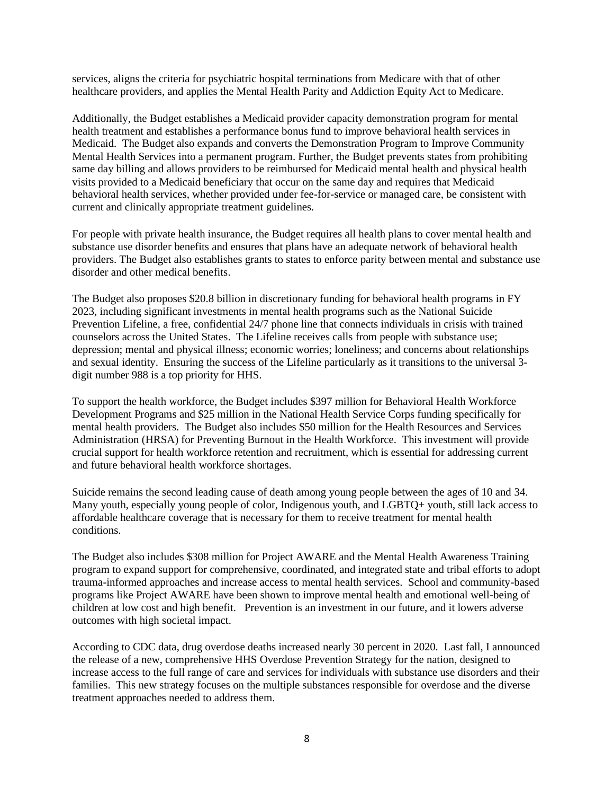services, aligns the criteria for psychiatric hospital terminations from Medicare with that of other healthcare providers, and applies the Mental Health Parity and Addiction Equity Act to Medicare.

Additionally, the Budget establishes a Medicaid provider capacity demonstration program for mental health treatment and establishes a performance bonus fund to improve behavioral health services in Medicaid. The Budget also expands and converts the Demonstration Program to Improve Community Mental Health Services into a permanent program. Further, the Budget prevents states from prohibiting same day billing and allows providers to be reimbursed for Medicaid mental health and physical health visits provided to a Medicaid beneficiary that occur on the same day and requires that Medicaid behavioral health services, whether provided under fee-for-service or managed care, be consistent with current and clinically appropriate treatment guidelines.

For people with private health insurance, the Budget requires all health plans to cover mental health and substance use disorder benefits and ensures that plans have an adequate network of behavioral health providers. The Budget also establishes grants to states to enforce parity between mental and substance use disorder and other medical benefits.

The Budget also proposes \$20.8 billion in discretionary funding for behavioral health programs in FY 2023, including significant investments in mental health programs such as the National Suicide Prevention Lifeline, a free, confidential 24/7 phone line that connects individuals in crisis with trained counselors across the United States. The Lifeline receives calls from people with substance use; depression; mental and physical illness; economic worries; loneliness; and concerns about relationships and sexual identity. Ensuring the success of the Lifeline particularly as it transitions to the universal 3 digit number 988 is a top priority for HHS.

To support the health workforce, the Budget includes \$397 million for Behavioral Health Workforce Development Programs and \$25 million in the National Health Service Corps funding specifically for mental health providers. The Budget also includes \$50 million for the Health Resources and Services Administration (HRSA) for Preventing Burnout in the Health Workforce. This investment will provide crucial support for health workforce retention and recruitment, which is essential for addressing current and future behavioral health workforce shortages.

Suicide remains the second leading cause of death among young people between the ages of 10 and 34. Many youth, especially young people of color, Indigenous youth, and LGBTQ+ youth, still lack access to affordable healthcare coverage that is necessary for them to receive treatment for mental health conditions.

The Budget also includes \$308 million for Project AWARE and the Mental Health Awareness Training program to expand support for comprehensive, coordinated, and integrated state and tribal efforts to adopt trauma-informed approaches and increase access to mental health services. School and community-based programs like Project AWARE have been shown to improve mental health and emotional well-being of children at low cost and high benefit. Prevention is an investment in our future, and it lowers adverse outcomes with high societal impact.

According to CDC data, drug overdose deaths increased nearly 30 percent in 2020. Last fall, I announced the release of a new, comprehensive HHS Overdose Prevention Strategy for the nation, designed to increase access to the full range of care and services for individuals with substance use disorders and their families. This new strategy focuses on the multiple substances responsible for overdose and the diverse treatment approaches needed to address them.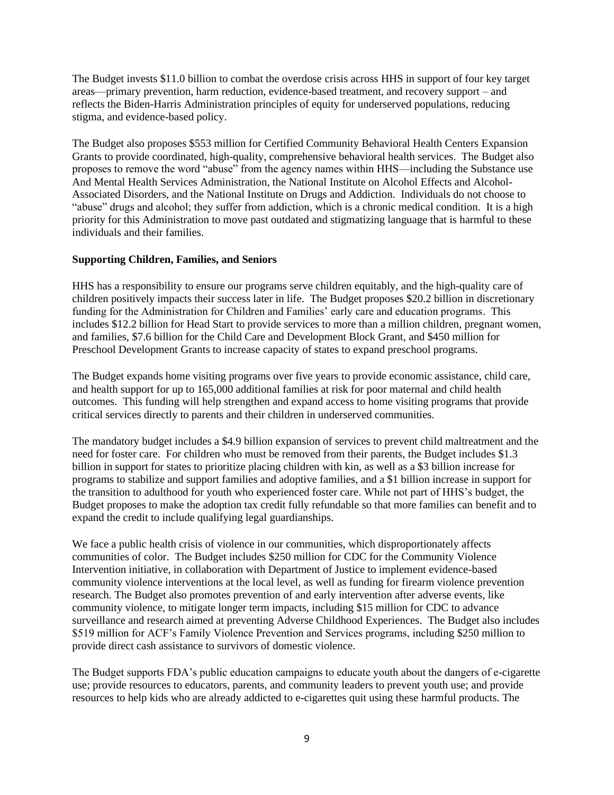The Budget invests \$11.0 billion to combat the overdose crisis across HHS in support of four key target areas—primary prevention, harm reduction, evidence-based treatment, and recovery support – and reflects the Biden-Harris Administration principles of equity for underserved populations, reducing stigma, and evidence-based policy.

The Budget also proposes \$553 million for Certified Community Behavioral Health Centers Expansion Grants to provide coordinated, high-quality, comprehensive behavioral health services. The Budget also proposes to remove the word "abuse" from the agency names within HHS—including the Substance use And Mental Health Services Administration, the National Institute on Alcohol Effects and Alcohol-Associated Disorders, and the National Institute on Drugs and Addiction. Individuals do not choose to "abuse" drugs and alcohol; they suffer from addiction, which is a chronic medical condition. It is a high priority for this Administration to move past outdated and stigmatizing language that is harmful to these individuals and their families.

### **Supporting Children, Families, and Seniors**

HHS has a responsibility to ensure our programs serve children equitably, and the high-quality care of children positively impacts their success later in life. The Budget proposes \$20.2 billion in discretionary funding for the Administration for Children and Families' early care and education programs. This includes \$12.2 billion for Head Start to provide services to more than a million children, pregnant women, and families, \$7.6 billion for the Child Care and Development Block Grant, and \$450 million for Preschool Development Grants to increase capacity of states to expand preschool programs.

The Budget expands home visiting programs over five years to provide economic assistance, child care, and health support for up to 165,000 additional families at risk for poor maternal and child health outcomes. This funding will help strengthen and expand access to home visiting programs that provide critical services directly to parents and their children in underserved communities.

The mandatory budget includes a \$4.9 billion expansion of services to prevent child maltreatment and the need for foster care. For children who must be removed from their parents, the Budget includes \$1.3 billion in support for states to prioritize placing children with kin, as well as a \$3 billion increase for programs to stabilize and support families and adoptive families, and a \$1 billion increase in support for the transition to adulthood for youth who experienced foster care. While not part of HHS's budget, the Budget proposes to make the adoption tax credit fully refundable so that more families can benefit and to expand the credit to include qualifying legal guardianships.

We face a public health crisis of violence in our communities, which disproportionately affects communities of color. The Budget includes \$250 million for CDC for the Community Violence Intervention initiative, in collaboration with Department of Justice to implement evidence-based community violence interventions at the local level, as well as funding for firearm violence prevention research. The Budget also promotes prevention of and early intervention after adverse events, like community violence, to mitigate longer term impacts, including \$15 million for CDC to advance surveillance and research aimed at preventing Adverse Childhood Experiences. The Budget also includes \$519 million for ACF's Family Violence Prevention and Services programs, including \$250 million to provide direct cash assistance to survivors of domestic violence.

The Budget supports FDA's public education campaigns to educate youth about the dangers of e-cigarette use; provide resources to educators, parents, and community leaders to prevent youth use; and provide resources to help kids who are already addicted to e-cigarettes quit using these harmful products. The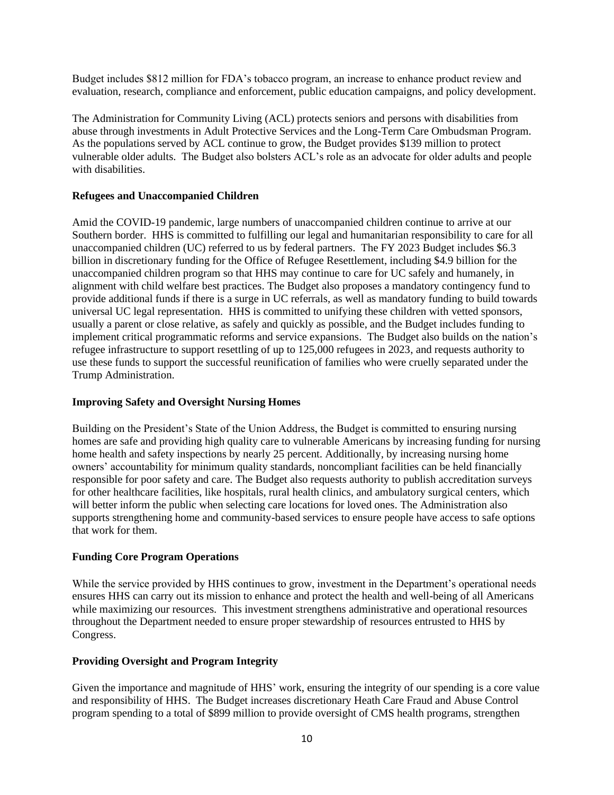Budget includes \$812 million for FDA's tobacco program, an increase to enhance product review and evaluation, research, compliance and enforcement, public education campaigns, and policy development.

The Administration for Community Living (ACL) protects seniors and persons with disabilities from abuse through investments in Adult Protective Services and the Long-Term Care Ombudsman Program. As the populations served by ACL continue to grow, the Budget provides \$139 million to protect vulnerable older adults. The Budget also bolsters ACL's role as an advocate for older adults and people with disabilities.

# **Refugees and Unaccompanied Children**

Amid the COVID-19 pandemic, large numbers of unaccompanied children continue to arrive at our Southern border. HHS is committed to fulfilling our legal and humanitarian responsibility to care for all unaccompanied children (UC) referred to us by federal partners. The FY 2023 Budget includes \$6.3 billion in discretionary funding for the Office of Refugee Resettlement, including \$4.9 billion for the unaccompanied children program so that HHS may continue to care for UC safely and humanely, in alignment with child welfare best practices. The Budget also proposes a mandatory contingency fund to provide additional funds if there is a surge in UC referrals, as well as mandatory funding to build towards universal UC legal representation. HHS is committed to unifying these children with vetted sponsors, usually a parent or close relative, as safely and quickly as possible, and the Budget includes funding to implement critical programmatic reforms and service expansions. The Budget also builds on the nation's refugee infrastructure to support resettling of up to 125,000 refugees in 2023, and requests authority to use these funds to support the successful reunification of families who were cruelly separated under the Trump Administration.

### **Improving Safety and Oversight Nursing Homes**

Building on the President's State of the Union Address, the Budget is committed to ensuring nursing homes are safe and providing high quality care to vulnerable Americans by increasing funding for nursing home health and safety inspections by nearly 25 percent. Additionally, by increasing nursing home owners' accountability for minimum quality standards, noncompliant facilities can be held financially responsible for poor safety and care. The Budget also requests authority to publish accreditation surveys for other healthcare facilities, like hospitals, rural health clinics, and ambulatory surgical centers, which will better inform the public when selecting care locations for loved ones. The Administration also supports strengthening home and community-based services to ensure people have access to safe options that work for them.

### **Funding Core Program Operations**

While the service provided by HHS continues to grow, investment in the Department's operational needs ensures HHS can carry out its mission to enhance and protect the health and well-being of all Americans while maximizing our resources. This investment strengthens administrative and operational resources throughout the Department needed to ensure proper stewardship of resources entrusted to HHS by Congress.

### **Providing Oversight and Program Integrity**

Given the importance and magnitude of HHS' work, ensuring the integrity of our spending is a core value and responsibility of HHS. The Budget increases discretionary Heath Care Fraud and Abuse Control program spending to a total of \$899 million to provide oversight of CMS health programs, strengthen